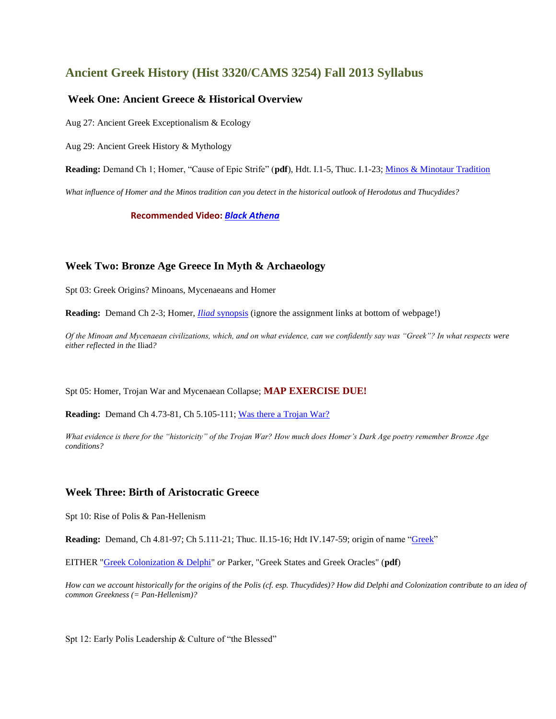# **Ancient Greek History (Hist 3320/CAMS 3254) Fall 2013 Syllabus**

# **Week One: Ancient Greece & Historical Overview**

Aug 27: Ancient Greek Exceptionalism & Ecology

Aug 29: Ancient Greek History & Mythology

**Reading:** Demand Ch 1; Homer, "Cause of Epic Strife" (**pdf**), Hdt. I.1-5, Thuc. I.1-23[; Minos & Minotaur Tradition](http://www.fordham.edu/halsall/ancient/minos1.html)

*What influence of Homer and the Minos tradition can you detect in the historical outlook of Herodotus and Thucydides?*

**Recommended Video:** *[Black Athena](http://video.lib.uconn.edu:81/secure/black_athena/)*

# **Week Two: Bronze Age Greece In Myth & Archaeology**

Spt 03: Greek Origins? Minoans, Mycenaeans and Homer

**Reading:** Demand Ch 2-3; Homer, *Iliad* [synopsis](http://shell.cas.usf.edu/~demilio/2211unit1/iliadplt.htm) (ignore the assignment links at bottom of webpage!)

*Of the Minoan and Mycenaean civilizations, which, and on what evidence, can we confidently say was "Greek"? In what respects were either reflected in the* Iliad*?*

Spt 05: Homer, Trojan War and Mycenaean Collapse; **MAP EXERCISE DUE!**

**Reading:** Demand Ch 4.73-81, Ch 5.105-111[; Was there a Trojan War?](http://archive.archaeology.org/0405/etc/troy.html)

*What evidence is there for the "historicity" of the Trojan War? How much does Homer's Dark Age poetry remember Bronze Age conditions?* 

## **Week Three: Birth of Aristocratic Greece**

Spt 10: Rise of Polis & Pan-Hellenism

**Reading:** Demand, Ch 4.81-97; Ch 5.111-21; Thuc. II.15-16; Hdt IV.147-59; origin of name ["Greek"](http://en.wikipedia.org/wiki/Name_of_Greece)

EITHER ["Greek Colonization & Delphi"](http://www.perseus.tufts.edu/cl135/Students/Maria_Daniels/colonies.html) *or* Parker, "Greek States and Greek Oracles" (**pdf**)

*How can we account historically for the origins of the Polis (cf. esp. Thucydides)? How did Delphi and Colonization contribute to an idea of common Greekness (= Pan-Hellenism)?*

Spt 12: Early Polis Leadership & Culture of "the Blessed"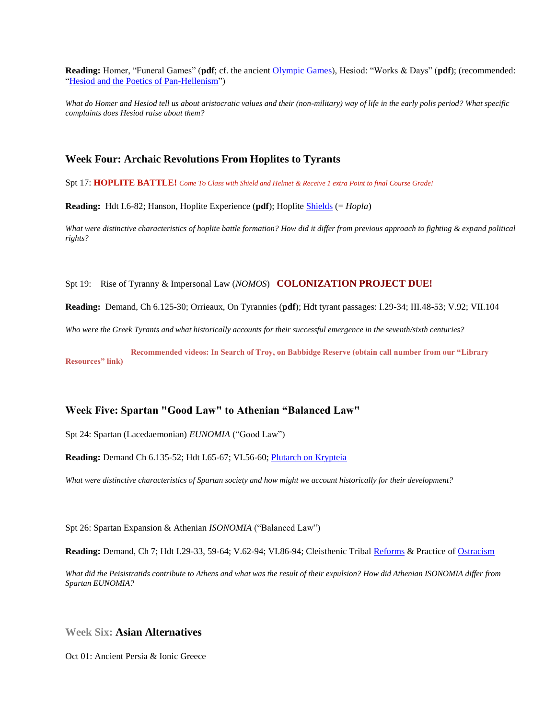**Reading:** Homer, "Funeral Games" (**pdf**; cf. the ancient [Olympic Games\)](http://www.perseus.tufts.edu/Olympics/), Hesiod: "Works & Days" (**pdf**); (recommended: ["Hesiod and the Poetics of Pan-Hellenism"](http://chs.harvard.edu/cgi-bin/WebObjects/workbench.woa/wa/pageR?tn=ArticleWrapper&bdc=12&mn=1284))

*What do Homer and Hesiod tell us about aristocratic values and their (non-military) way of life in the early polis period? What specific complaints does Hesiod raise about them?*

#### **Week Four: Archaic Revolutions From Hoplites to Tyrants**

Spt 17: **HOPLITE BATTLE!** *Come To Class with Shield and Helmet & Receive 1 extra Point to final Course Grade!*

**Reading:** Hdt I.6-82; Hanson, Hoplite Experience (**pdf**); Hoplite [Shields](http://www.ne.jp/asahi/luke/ueda-sarson/Greek_shield_patterns_1.html) (= *Hopla*)

*What were distinctive characteristics of hoplite battle formation? How did it differ from previous approach to fighting & expand political rights?* 

Spt 19: Rise of Tyranny & Impersonal Law (*NOMOS*) **COLONIZATION PROJECT DUE!**

**Reading:** Demand, Ch 6.125-30; Orrieaux, On Tyrannies (**pdf**); Hdt tyrant passages: I.29-34; III.48-53; V.92; VII.104

*Who were the Greek Tyrants and what historically accounts for their successful emergence in the seventh/sixth centuries?*

**Recommended videos: In Search of Troy, on Babbidge Reserve (obtain call number from our "Library Resources" link)**

## **Week Five: Spartan "Good Law" to Athenian "Balanced Law"**

Spt 24: Spartan (Lacedaemonian) *EUNOMIA* ("Good Law")

**Reading:** Demand Ch 6.135-52; Hdt I.65-67; VI.56-60[; Plutarch on Krypteia](http://www.csun.edu/~hcfll004/krypteia.htm)

*What were distinctive characteristics of Spartan society and how might we account historically for their development?*

Spt 26: Spartan Expansion & Athenian *ISONOMIA* ("Balanced Law")

**Reading:** Demand, Ch 7; Hdt I.29-33, 59-64; V.62-94; VI.86-94; Cleisthenic Triba[l Reforms](http://www.agathe.gr/democracy/political_organization_of_attica.html) & Practice of [Ostracism](http://www.agathe.gr/democracy/practice_of_ostracism.html)

*What did the Peisistratids contribute to Athens and what was the result of their expulsion? How did Athenian ISONOMIA differ from Spartan EUNOMIA?*

**Week Six: Asian Alternatives**

Oct 01: Ancient Persia & Ionic Greece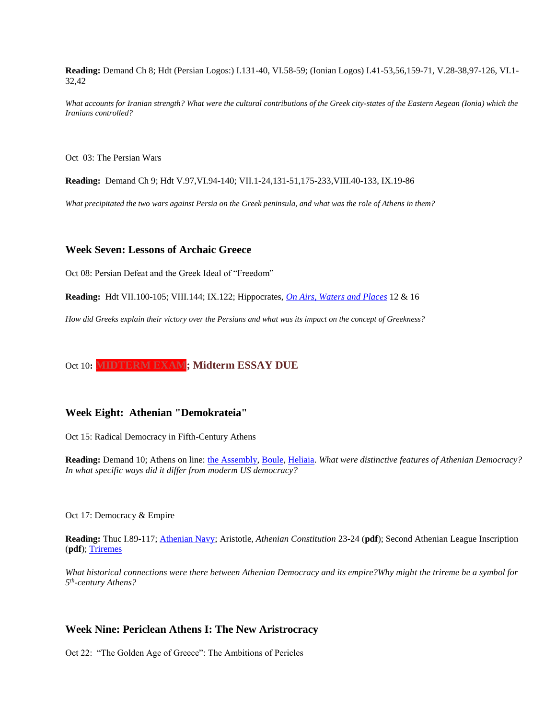**Reading:** Demand Ch 8; Hdt (Persian Logos:) I.131-40, VI.58-59; (Ionian Logos) I.41-53,56,159-71, V.28-38,97-126, VI.1- 32,42

*What accounts for Iranian strength? What were the cultural contributions of the Greek city-states of the Eastern Aegean (Ionia) which the Iranians controlled?*

Oct 03: The Persian Wars

**Reading:** Demand Ch 9; Hdt V.97,VI.94-140; VII.1-24,131-51,175-233,VIII.40-133, IX.19-86

*What precipitated the two wars against Persia on the Greek peninsula, and what was the role of Athens in them?*

#### **Week Seven: Lessons of Archaic Greece**

Oct 08: Persian Defeat and the Greek Ideal of "Freedom"

**Reading:** Hdt VII.100-105; VIII.144; IX.122; Hippocrates, *[On Airs, Waters and Places](http://classics.mit.edu/Hippocrates/airwatpl.html)* 12 & 16

*How did Greeks explain their victory over the Persians and what was its impact on the concept of Greekness?*

# Oct 10**: MIDTERM EXAM; Midterm ESSAY DUE**

#### **Week Eight: Athenian "Demokrateia"**

Oct 15: Radical Democracy in Fifth-Century Athens

**Reading:** Demand 10; Athens on line: [the Assembly,](http://www.agathe.gr/democracy/the_ekklesia.html) [Boule,](http://www.agathe.gr/democracy/the_boule.html) [Heliaia.](http://www.agathe.gr/democracy/the_popular_courts.html) *What were distinctive features of Athenian Democracy? In what specific ways did it differ from moderm US democracy?*

Oct 17: Democracy & Empire

**Reading:** Thuc I.89-117; [Athenian Navy;](http://www.agathe.gr/democracy/the_athenian_navy.html) Aristotle, *Athenian Constitution* 23-24 (**pdf**); Second Athenian League Inscription (**pdf**); [Triremes](http://www.agathe.gr/democracy/the_athenian_navy.html)

*What historical connections were there between Athenian Democracy and its empire?Why might the trireme be a symbol for 5 th -century Athens?*

#### **Week Nine: Periclean Athens I: The New Aristrocracy**

Oct 22: "The Golden Age of Greece": The Ambitions of Pericles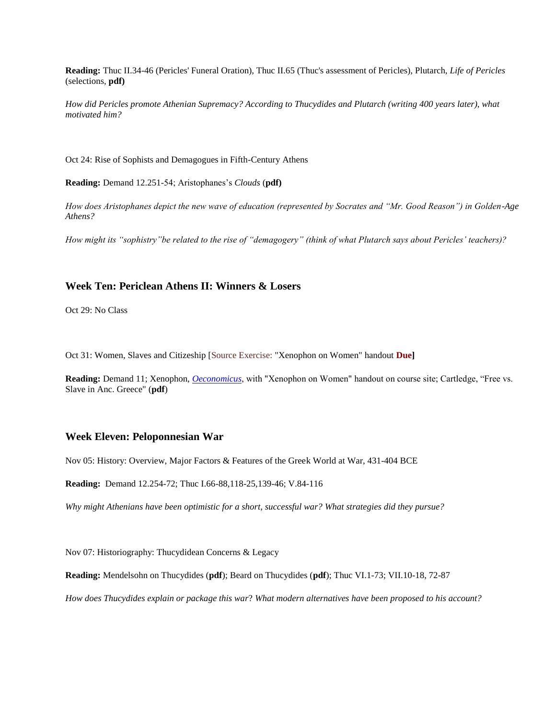**Reading:** Thuc II.34-46 (Pericles' Funeral Oration), Thuc II.65 (Thuc's assessment of Pericles), Plutarch, *Life of Pericles*  (selections, **pdf)**

*How did Pericles promote Athenian Supremacy? According to Thucydides and Plutarch (writing 400 years later), what motivated him?*

Oct 24: Rise of Sophists and Demagogues in Fifth-Century Athens

**Reading:** Demand 12.251-54; Aristophanes's *Clouds* (**pdf)**

*How does Aristophanes depict the new wave of education (represented by Socrates and "Mr. Good Reason") in Golden-Age Athens?* 

*How might its "sophistry"be related to the rise of "demagogery" (think of what Plutarch says about Pericles' teachers)?*

### **Week Ten: Periclean Athens II: Winners & Losers**

Oct 29: No Class

Oct 31: Women, Slaves and Citizeship [Source Exercise: "Xenophon on Women" handout **Due]**

**Reading:** Demand 11; Xenophon, *[Oeconomicus](http://faculty.fairfield.edu/rosivach/cl115/xen.%20econ.%207.htm)*, with "Xenophon on Women" handout on course site; Cartledge, "Free vs. Slave in Anc. Greece" (**pdf**)

### **Week Eleven: Peloponnesian War**

Nov 05: History: Overview, Major Factors & Features of the Greek World at War, 431-404 BCE

**Reading:** Demand 12.254-72; Thuc I.66-88,118-25,139-46; V.84-116

*Why might Athenians have been optimistic for a short, successful war? What strategies did they pursue?*

Nov 07: Historiography: Thucydidean Concerns & Legacy

**Reading:** Mendelsohn on Thucydides (**pdf**); Beard on Thucydides (**pdf**); Thuc VI.1-73; VII.10-18, 72-87

*How does Thucydides explain or package this war*? *What modern alternatives have been proposed to his account?*